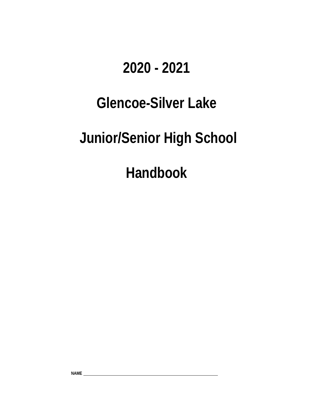## **2020 - 2021**

# **Glencoe-Silver Lake**

# **Junior/Senior High School**

**Handbook**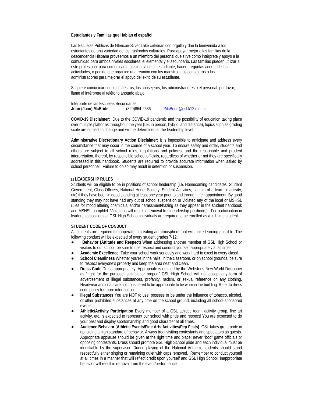#### **Estudiantes y Familias que Hablan el español**

Las Escuelas Públicas de Glencoe-Silver Lake celebran con orgullo y dan la bienvenida a los estudiantes de una variedad de los trasfondos culturales. Para apoyar mejor a las familias de la descendencia Hispana proveemos a un miembro del personal que sirve como intérprete y apoyo a la comunidad para ambos niveles escolares: el elemental y el secundario. Las familias pueden utilizar a este profesional para comunicar la asistencia de su estudiante, hacer preguntas acerca de las actividades, o pedirle que organice una reunión con los maestros, los consejeros o los administradores para mejorar el apoyo del éxito de su estudiante.

Si quiere comunicar con los maestros, los consejeros, los administradores o el personal, por favor, llame al Intérprete al teléfono anotado abajo:

Intérprete de las Escuelas Secundarias:<br>John (Juan) McBride (320)864-2686 [JMcBride@gsl.k12.mn.us](https://mail.gsl.k12.mn.us/owa/redir.aspx?C=4e3b11d07ae3444885f29be18725f479&URL=mailto%3aJMcBride%40gsl.k12.mn.us)

**COVID-19 Disclaimer:** Due to the COVID-19 pandemic and the possibility of education taking place over multiple platforms throughout the year (I.E. in person, hybrid, and distance), topics such as grading scale are subject to change and will be determined at the leadership level.

**Administrative Discretionary Action Disclaimer:** It is impossible to anticipate and address every circumstance that may occur in the course of a school year. To ensure safety and order, students and others are subject to all school rules, regulations and policies, and the reasonable and prudent interpretation, thereof, by responsible school officials, regardless of whether or not they are specifically addressed in this handbook. Students are required to provide accurate information when asked by school personnel. Failure to do so may result in detention or suspension.

#### **LEADERSHIP RULES**

Students will be eligible to be in positions of school leadership (i.e. Homecoming candidates, Student Government, Class Officers, National Honor Society, Student Activities, captain of a team or activity, etc) if they have been in good standing at least one year prior to and through their appointment. By good standing they may not have had any out of school suspension or violated any of the local or MSHSL rules for mood altering chemicals, and/or harassment/hazing as they appear in the student handbook and MSHSL pamphlet. Violations will result in removal from leadership position(s). For participation in leadership positions at GSL High School individuals are required to be enrolled as a full-time student.

#### **STUDENT CODE OF CONDUCT**

All students are required to cooperate in creating an atmosphere that will make learning possible. The following conduct will be expected of every student grades 7-12.

- Behavior (Attitude and Respect) When addressing another member of GSL High School or visitors to our school, be sure to use respect and conduct yourself appropriately at all times.
- Academic Excellence Take your school work seriously and work hard to excel in every class!
- School Cleanliness Whether you're in the halls, in the classroom, or on school grounds, be sure to respect everyone's property and keep the area neat and clean.
- Dress Code Dress appropriately. Appropriate is defined by the Webster's New World Dictionary as "right for the purpose, suitable or proper." GSL High School will not accept any form of advertisement of illegal substances, profanity, racism, or sexual reference on any clothing. Headwear and coats are not considered to be appropriate to be worn in the building. Refer to dress code policy for more information.
- **Illegal Substances** You are NOT to use, possess or be under the influence of tobacco, alcohol, or other prohibited substances at any time on the school ground, including all school-sponsored events*.*
- Athletic/Activity Participation Every member of a GSL athletic team, activity group, fine art activity, etc. is expected to represent our school with pride and respect! You are expected to do your best and display sportsmanship and good character at all times.
- **Audience Behavior (Athletic Events/Fine Arts Activities/Pep Fests)** GSL takes great pride in upholding a high standard of behavior. Always treat visiting contestants and spectators as guests. Appropriate applause should be given at the right time and place; never "boo" game officials or opposing contestants. Dress should promote GSL High School pride and each individual must be identifiable by the supervisor. During playing of the National Anthem, students should stand respectfully either singing or remaining quiet with caps removed. Remember to conduct yourself at all times in a manner that will reflect credit upon yourself and GSL High School. Inappropriate behavior will result in removal from the event/performance.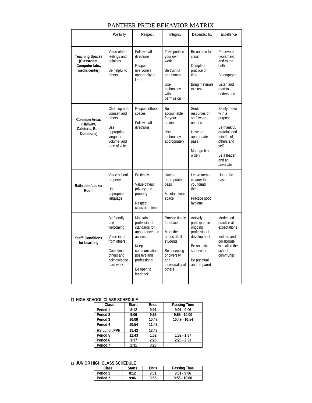|                                                                          | Positivity                                                                                                            | Respect                                                                                                                                                   | Integrity                                                                                                                               | Dependability                                                                                                                     | Excellence                                                                                                                                 |
|--------------------------------------------------------------------------|-----------------------------------------------------------------------------------------------------------------------|-----------------------------------------------------------------------------------------------------------------------------------------------------------|-----------------------------------------------------------------------------------------------------------------------------------------|-----------------------------------------------------------------------------------------------------------------------------------|--------------------------------------------------------------------------------------------------------------------------------------------|
| <b>Teaching Spaces</b><br>(Classroom,<br>Computer labs,<br>media center) | Value others<br>feelings and<br>opinions<br>Be helpful to<br>others                                                   | Follow staff<br>directions<br>Respect<br>everyone's<br>opportunity to<br>learn                                                                            | Take pride in<br>your own<br>work<br>Be truthful<br>and honest<br>Use<br>technology<br>with<br>permission                               | Be on time for<br>class<br>Complete<br>practice on<br>time<br>Bring materials<br>to class                                         | Persevere<br>(work hard<br>and to the<br>bell)<br>Be engaged<br>Listen and<br>read to<br>understand                                        |
| <b>Common Areas</b><br>(Hallway,<br>Cafeteria, Bus,<br>Commons)          | Clean up after<br>vourself and<br>others<br>Use<br>appropriate<br>language,<br>volume, and<br>tone of voice           | Respect others'<br>spaces<br>Follow staff<br>directions                                                                                                   | Be<br>accountable<br>for your<br>actions<br>Use<br>technology<br>appropriately                                                          | <b>Seek</b><br>resources or<br>staff when<br>needed<br>Have an<br>appropriate<br>pass<br>Manage time<br>wisely                    | Safely move<br>with a<br>purpose<br>Be thankful.<br>grateful, and<br>mindful of<br>others and<br>self<br>Be a leader<br>and an<br>advocate |
| Bathroom/Locker<br>Room                                                  | Value school<br>property<br>Use<br>appropriate<br>language                                                            | Be timely<br>Value others'<br>privacy and<br>property<br>Respect<br>classroom time                                                                        | Have an<br>appropriate<br>pass<br>Maintain your<br>space                                                                                | Leave areas<br>cleaner than<br>you found<br>them<br>Practice good<br>hygiene                                                      | Honor the<br>pass                                                                                                                          |
| <b>Staff: Conditions</b><br>for Learning                                 | Be friendly<br>and<br>welcoming<br>Value input<br>from others<br>Compliment<br>others and<br>acknowledge<br>hard work | Maintain<br>professional<br>standards for<br>appearance and<br>actions<br>Keep<br>communication<br>positive and<br>professional<br>Be open to<br>feedback | Provide timely<br>feedback<br>Meet the<br>needs of all<br>students<br>Be accepting<br>of diversity<br>and<br>individuality of<br>others | Actively<br>participate in<br>ongoing<br>professional<br>development<br>Be an active<br>supervisor<br>Be punctual<br>and prepared | Model and<br>practice all<br>expectations<br>Include and<br>collaborate<br>with all in the<br>school<br>community                          |

## PANTHER PRIDE BEHAVIOR MATRIX

## **HIGH SCHOOL CLASS SCHEDULE**

| Class               | <b>Starts</b> | <b>Ends</b> | Passing Time    |
|---------------------|---------------|-------------|-----------------|
| Period <sub>1</sub> | 8:12          | 9:01        | $9:01 - 9:06$   |
| Period 2            | 9:06          | 9:55        | $9:55 - 10:00$  |
| Period 3            | 10:00         | 10:49       | $10:49 - 10:54$ |
| Period 4            | 10:54         | 11:43       |                 |
| <b>HS Lunch/PPH</b> | 11:43         | 12:43       |                 |
| Period 5            | 12:43         | 1:32        | $1:32 - 1:37$   |
| Period 6            | 1:37          | 2:26        | $2:26 - 2:31$   |
| Period <sub>7</sub> | 2:31          | 3:20        |                 |

## **JUNIOR HIGH CLASS SCHEDULE**

| Class    | <b>Starts</b> | Ends | Passing Time   |
|----------|---------------|------|----------------|
| Period 1 | 8:12          | 9:01 | $9:01 - 9:06$  |
| Period 2 | 9:06          | 9:55 | $9:55 - 10:00$ |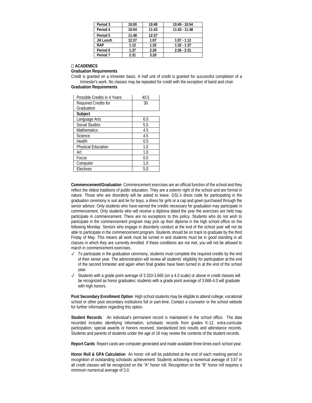| Period 3            | 10:00 | 10:49 | 10:49 - 10:54   |
|---------------------|-------|-------|-----------------|
| Period 4            | 10:54 | 11:43 | $11:43 - 11:48$ |
| Period 5            | 11:48 | 12:37 |                 |
| JH Lunch            | 12:37 | 1:07  | $1:07 - 1:12$   |
| <b>RAP</b>          | 1:12  | 1:32  | $1:32 - 1:37$   |
| Period 6            | 1:37  | 2:26  | $2:26 - 2:31$   |
| Period <sub>7</sub> | 2:31  | 3:20  |                 |

#### **ACADEMICS**

**Graduation Requirements** 

Credit is granted on a trimester basis. A half unit of credit is granted for successful completion of a trimester's work. No classes may be repeated for credit with the exception of band and choir.

#### **Graduation Requirements**

| Possible Credits in 4 Years | 40.5 |
|-----------------------------|------|
| Required Credits for        | 30   |
| Graduation                  |      |
| Subject                     |      |
| Language Arts               | 6.0  |
| <b>Social Studies</b>       | 5.5  |
| <b>Mathematics</b>          | 4.5  |
| Science                     | 4.5  |
| Health                      | 0.5  |
| Physical Education          | 1.5  |
| Art                         | 1.0  |
| Focus                       | 0.5  |
| Computer                    | 1.0  |
| Electives                   | 5.0  |

**Commencement/Graduation** Commencement exercises are an official function of the school and they reflect the oldest traditions of public education. They are a solemn right of the school and are formal in nature. Those who are disorderly will be asked to leave. GSL's dress code for participating in the graduation ceremony is suit and tie for boys, a dress for girls or a cap and gown purchased through the senior advisor. Only students who have earned the credits necessary for graduation may participate in commencement. Only students who will receive a diploma dated the year the exercises are held may participate in commencement. There are no exceptions to this policy. Students who do not wish to participate in the commencement program may pick up their diploma in the high school office on the following Monday. Seniors who engage in disorderly conduct at the end of the school year will not be able to participate in the commencement program. Students should be on track to graduate by the third Friday of May. This means all work must be turned in and students must be in good standing in all classes in which they are currently enrolled. If these conditions are not met, you will not be allowed to march in commencement exercises.

- $\checkmark$  To participate in the graduation ceremony, students must complete the required credits by the end of their senior year. The administration will review all students' eligibility for participation at the end of the second trimester and again when final grades have been turned in at the end of the school year.
- ✓ Students with a grade point average of 3.333-3.665 (on a 4.0 scale) or above in credit classes will be recognized as honor graduates; students with a grade point average of 3.666-4.0 will graduate with high honors.

**Post Secondary Enrollment Option** High school students may be eligible to attend college, vocational school or other post secondary institutions full or part-time. Contact a counselor or the school website for further information regarding this option.

**Student Records** An individual's permanent record is maintained in the school office. The data recorded includes identifying information, scholastic records from grades K-12, extra-curricular participation, special awards or honors received, standardized test results and attendance records. Students and parents of students under the age of 18 may review the contents of the student records.

**Report Cards** Report cards are computer generated and made available three times each school year.

**Honor Roll & GPA Calculation** An honor roll will be published at the end of each marking period in recognition of outstanding scholastic achievement. Students achieving a numerical average of 3.67 in all credit classes will be recognized on the "A" honor roll. Recognition on the "B" honor roll requires a minimum numerical average of 3.0.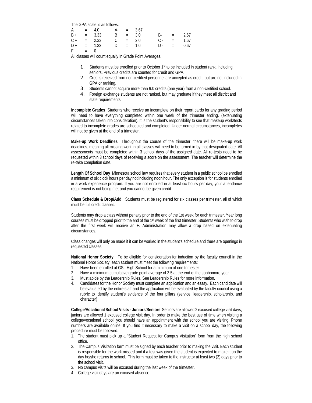The GPA scale is as follows:

|  | $F = 0$ |  | $A = 4.0 \t A = 3.67$ | $B + = 3.33$ $B = 3.0$ $B - = 2.67$<br>$C + = 2.33$ $C = 2.0$ $C - = 1.67$<br>$D + = 1.33$ $D = 1.0$ $D - = 0.67$ |
|--|---------|--|-----------------------|-------------------------------------------------------------------------------------------------------------------|

All classes will count equally in Grade Point Averages.

- 1. Students must be enrolled prior to October 1st to be included in student rank, including seniors. Previous credits are counted for credit and GPA.
- 2. Credits received from non-certified personnel are accepted as credit, but are not included in GPA or ranking.
- 3. Students cannot acquire more than 9.0 credits (one year) from a non-certified school.
- 4. Foreign exchange students are not ranked, but may graduate if they meet all district and state requirements.

**Incomplete Grades** Students who receive an incomplete on their report cards for any grading period will need to have everything completed within one week of the trimester ending. (extenuating circumstances taken into consideration). It is the student's responsibility to see that makeup work/tests related to incomplete grades are scheduled and completed. Under normal circumstances, incompletes will not be given at the end of a trimester.

**Make-up Work Deadlines** Throughout the course of the trimester, there will be make-up work deadlines, meaning all missing work in all classes will need to be turned in by that designated date. All assessments must be completed within 3 school days of the assigned date. All re-tests need to be requested within 3 school days of receiving a score on the assessment. The teacher will determine the re-take completion date.

**Length Of School Day** Minnesota school law requires that every student in a public school be enrolled a minimum of six clock hours per day not including noon hour. The only exception is for students enrolled in a work experience program. If you are not enrolled in at least six hours per day, your attendance requirement is not being met and you cannot be given credit.

**Class Schedule & Drop/Add** Students must be registered for six classes per trimester, all of which must be full credit classes.

Students may drop a class without penalty prior to the end of the 1st week for each trimester. Year long courses must be dropped prior to the end of the 1<sup>st</sup> week of the first trimester. Students who wish to drop after the first week will receive an F. Administration may allow a drop based on extenuating circumstances.

Class changes will only be made if it can be worked in the student's schedule and there are openings in requested classes.

**National Honor Society** To be eligible for consideration for induction by the faculty council in the National Honor Society, each student must meet the following requirements:

- 1. Have been enrolled at GSL High School for a minimum of one trimester
- 2. Have a minimum cumulative grade point average of 3.5 at the end of the sophomore year.
- 3. Must abide by the Leadership Rules. See Leadership Rules for more information.
- 4. Candidates for the Honor Society must complete an application and an essay. Each candidate will be evaluated by the entire staff and the application will be evaluated by the faculty council using a rubric to identify student's evidence of the four pillars (service, leadership, scholarship, and character).

**College/Vocational School Visits - Juniors/Seniors** Seniors are allowed 2 excused college visit days; juniors are allowed 1 excused college visit day. In order to make the best use of time when visiting a college/vocational school, you should have an appointment with the school you are visiting. Phone numbers are available online. If you find it necessary to make a visit on a school day, the following procedure must be followed:

- 1. The student must pick up a "Student Request for Campus Visitation" form from the high school office.
- 2. The Campus Visitation form must be signed by each teacher prior to making the visit. Each student is responsible for the work missed and if a test was given the student is expected to make it up the day he/she returns to school. This form must be taken to the instructor at least two (2) days prior to the school visit.
- 3. No campus visits will be excused during the last week of the trimester.
- 4. College visit days are an excused absence.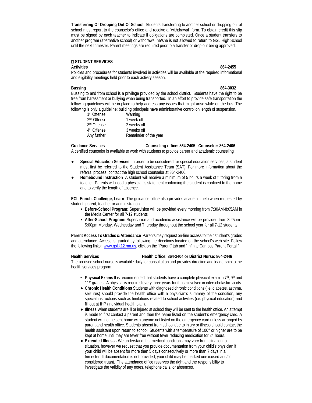**Transferring Or Dropping Out Of School** Students transferring to another school or dropping out of school must report to the counselor's office and receive a "withdrawal" form. To obtain credit this slip must be signed by each teacher to indicate if obligations are completed. Once a student transfers to another program (alternative school) or withdraws, he/she is not allowed to return to GSL High School until the next trimester. Parent meetings are required prior to a transfer or drop out being approved.

#### **STUDENT SERVICES**

#### **Activities 864-2455**

Policies and procedures for students involved in activities will be available at the required informational and eligibility meetings held prior to each activity season.

#### **Bussing 864-3032**

Bussing to and from school is a privilege provided by the school district. Students have the right to be free from harassment or bullying when being transported. In an effort to provide safe transportation the following guidelines will be in place to help address any issues that might arise while on the bus. The following is only a guideline; building principals have administrative control on length of suspension.

| 1st Offense             | Warning               |
|-------------------------|-----------------------|
| 2 <sup>nd</sup> Offense | 1 week off            |
| 3rd Offense             | 2 weeks off           |
| 4th Offense             | 3 weeks off           |
| Any further             | Remainder of the year |

#### **Guidance Services Counseling office: 864-2405 Counselor: 864-2406**

A certified counselor is available to work with students to provide career and academic counseling

- Special Education Services In order to be considered for special education services, a student must first be referred to the Student Assistance Team (SAT). For more information about the referral process, contact the high school counselor at 864-2406.
- **Homebound Instruction** A student will receive a minimum of 5 hours a week of tutoring from a teacher. Parents will need a physician's statement confirming the student is confined to the home and to verify the length of absence.

**ECL Enrich, Challenge, Learn** The guidance office also provides academic help when requested by student, parent, teacher or administration.

- **Before-School Program:** Supervision will be provided every morning from 7:30AM-8:05AM in the Media Center for all 7-12 students
- **After-School Program:** Supervision and academic assistance will be provided from 3:25pm– 5:00pm Monday, Wednesday and Thursday throughout the school year for all 7-12 students.

**Parent Access To Grades & Attendance** Parents may request on-line access to their student's grades and attendance. Access is granted by following the directions located on the school's web site. Follow the following links: www.qsl.k12.mn.us, click on the "Parent" tab and "Infinite Campus Parent Portal."

#### **Health Services Health Office: 864-2404 or District Nurse: 864-2446**

The licensed school nurse is available daily for consultation and provides direction and leadership to the health services program.

- Physical Exams It is recommended that students have a complete physical exam in 7<sup>th</sup>, 9<sup>th</sup> and 11<sup>th</sup> grades. A physical is required every three years for those involved in interscholastic sports.
- **Chronic Health Conditions** Students with diagnosed chronic conditions (i.e. diabetes, asthma, seizures) should provide the health office with a physician's summary of the condition, any special instructions such as limitations related to school activities (i.e. physical education) and fill out at IHP (individual health plan).
- **Illness** When students are ill or injured at school they will be sent to the health office. An attempt is made to first contact a parent and then the name listed on the student's emergency card. A student will not be sent home with anyone not listed on the emergency card unless arranged by parent and health office. Students absent from school due to injury or illness should contact the health assistant upon return to school. Students with a temperature of 100° or higher are to be kept at home until they are fever free without fever reducing medication for 24 hours.
- **Extended Illness -** We understand that medical conditions may vary from situation to situation, however we request that you provide documentation from your child's physician if your child will be absent for more than 5 days consecutively or more than 7 days in a trimester. If documentation is not provided, your child may be marked unexcused and/or considered truant. The attendance office reserves the right and the responsibility to investigate the validity of any notes, telephone calls, or absences.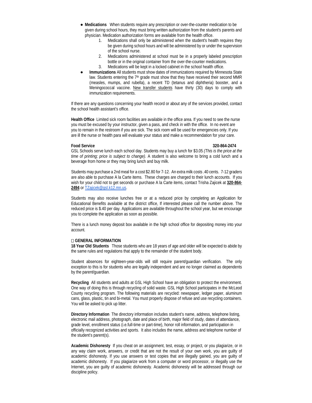- **Medications** When students require any prescription or over-the-counter medication to be given during school hours, they must bring written authorization from the student's parents and physician. Medication authorization forms are available from the health office.
	- 1. Medications shall only be administered when the student's health requires they be given during school hours and will be administered by or under the supervision of the school nurse.
	- 2. Medications administered at school must be in a properly labeled prescription bottle or in the original container from the over-the-counter medications.
	- 3. Medications will be kept in a locked cabinet in the school health office.
- **Immunizations** All students must show dates of immunizations required by Minnesota State law. Students entering the 7<sup>th</sup> grade must show that they have received their second MMR (measles, mumps, and rubella), a recent TD (tetanus and diphtheria) booster, and a Meningococcal vaccine. New transfer students have thirty (30) days to comply with immunization requirements.

If there are any questions concerning your health record or about any of the services provided, contact the school health assistant's office.

**Health Office** Limited sick room facilities are available in the office area. If you need to see the nurse you must be excused by your instructor, given a pass, and check in with the office. In no event are you to remain in the restroom if you are sick. The sick room will be used for emergencies only. If you are ill the nurse or health para will evaluate your status and make a recommendation for your care.

#### **Food Service 320-864-2474**

GSL Schools serve lunch each school day. Students may buy a lunch for \$3.05 *(This is the price at the time of printing; price is subject to change).* A student is also welcome to bring a cold lunch and a beverage from home or they may bring lunch and buy milk.

Students may purchase a 2nd meal for a cost \$2.80 for 7-12. An extra milk costs .40 cents. 7-12 graders are also able to purchase A la Carte items. These charges are charged to their lunch accounts. If you wish for your child not to get seconds or purchase A la Carte items, contact Trisha Zajicek at **320-864- 2494** or [TZajicek@gsl.k12.mn.us.](mailto:TZajicek@gsl.k12.mn.us) 

Students may also receive lunches free or at a reduced price by completing an Application for Educational Benefits available at the district office, If interested please call the number above. The reduced price is \$.40 per day. Applications are available throughout the school year, but we encourage you to complete the application as soon as possible.

There is a lunch money deposit box available in the high school office for depositing money into your account.

#### **GENERAL INFORMATION**

**18 Year Old Students** Those students who are 18 years of age and older will be expected to abide by the same rules and regulations that apply to the remainder of the student body.

Student absences for eighteen-year-olds will still require parent/guardian verification. The only exception to this is for students who are legally independent and are no longer claimed as dependents by the parent/guardian.

**Recycling** All students and adults at GSL High School have an obligation to protect the environment. One way of doing this is through recycling of solid waste. GSL High School participates in the McLeod County recycling program. The following materials are recycled: newspaper, ledger paper, aluminum cans, glass, plastic, tin and bi-metal. You must properly dispose of refuse and use recycling containers. You will be asked to pick up litter.

**Directory Information** The directory information includes student's name, address, telephone listing, electronic mail address, photograph, date and place of birth, major field of study, dates of attendance, grade level, enrollment status (i.e.full-time or part-time), honor roll information, and participation in officially recognized activities and sports. It also includes the name, address and telephone number of the student's parent(s).

**Academic Dishonesty** If you cheat on an assignment, test, essay, or project, or you plagiarize, or in any way claim work, answers, or credit that are not the result of your own work, you are guilty of academic dishonesty. If you use answers or test copies that are illegally gained, you are guilty of academic dishonesty. If you plagiarize work from a computer or word processor, or illegally use the Internet, you are guilty of academic dishonesty. Academic dishonesty will be addressed through our discipline policy.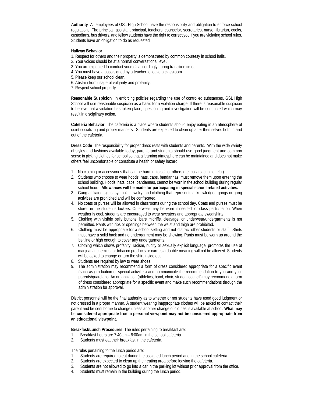**Authority** All employees of GSL High School have the responsibility and obligation to enforce school regulations. The principal, assistant principal, teachers, counselor, secretaries, nurse, librarian, cooks, custodians, bus drivers, and fellow students have the right to correct you if you are violating school rules. Students have an obligation to do as requested.

#### **Hallway Behavior**

- 1. Respect for others and their property is demonstrated by common courtesy in school halls.
- 2. Your voices should be at a normal conversational level.
- 3. You are expected to conduct yourself accordingly during transition times.
- 4. You must have a pass signed by a teacher to leave a classroom.
- 5. Please keep our school clean.
- 6. Abstain from usage of vulgarity and profanity.
- 7. Respect school property.

**Reasonable Suspicion** In enforcing policies regarding the use of controlled substances, GSL High School will use reasonable suspicion as a basis for a violation charge. If there is reasonable suspicion to believe that a violation has taken place, questioning and investigation will be conducted which may result in disciplinary action.

**Cafeteria Behavior** The cafeteria is a place where students should enjoy eating in an atmosphere of quiet socializing and proper manners. Students are expected to clean up after themselves both in and out of the cafeteria.

**Dress Code** The responsibility for proper dress rests with students and parents. With the wide variety of styles and fashions available today, parents and students should use good judgment and common sense in picking clothes for school so that a learning atmosphere can be maintained and does not make others feel uncomfortable or constitute a health or safety hazard.

- 1. No clothing or accessories that can be harmful to self or others (i.e. collars, chains, etc.)
- 2. Students who choose to wear hoods, hats, caps, bandannas, must remove them upon entering the school building. Hoods, hats, caps, bandannas, cannot be worn in the school building during regular school hours. **Allowances will be made for participating in special school related activities.**
- 3. Gang-affiliated signs, symbols, jewelry, and clothing that represents acknowledged gangs or gang activities are prohibited and will be confiscated.
- 4. No coats or purses will be allowed in classrooms during the school day. Coats and purses must be stored in the student's lockers. Outerwear may be worn if needed for class participation. When weather is cool, students are encouraged to wear sweaters and appropriate sweatshirts.
- 5. Clothing with visible belly buttons, bare midriffs, cleavage, or underwear/undergarments is not permitted. Pants with rips or openings between the waist and thigh are prohibited.
- 6. Clothing must be appropriate for a school setting and not distract other students or staff. Shirts must have a solid back and no undergarment may be showing. Pants must be worn up around the beltline or high enough to cover any undergarments.
- 7. Clothing which shows profanity, racism, nudity or sexually explicit language, promotes the use of marijuana, chemical or tobacco products or carries a double meaning will not be allowed. Students will be asked to change or turn the shirt inside out.
- 8. Students are required by law to wear shoes.
- 9. The administration may recommend a form of dress considered appropriate for a specific event (such as graduation or special activities) and communicate the recommendation to you and your parents/guardians. An organization (athletics, band, choir, student council) may recommend a form of dress considered appropriate for a specific event and make such recommendations through the administration for approval.

District personnel will be the final authority as to whether or not students have used good judgment or not dressed in a proper manner. A student wearing inappropriate clothes will be asked to contact their parent and be sent home to change unless another change of clothes is available at school. **What may be considered appropriate from a personal viewpoint may not be considered appropriate from an educational viewpoint.**

**Breakfast/Lunch Procedures** The rules pertaining to breakfast are:

- 1. Breakfast hours are 7:40am 8:00am in the school cafeteria.
- 2. Students must eat their breakfast in the cafeteria.

The rules pertaining to the lunch period are:

- 1. Students are required to eat during the assigned lunch period and in the school cafeteria.
- 2. Students are expected to clean up their eating area before leaving the cafeteria.
- 3. Students are not allowed to go into a car in the parking lot without prior approval from the office.
- 4. Students must remain in the building during the lunch period.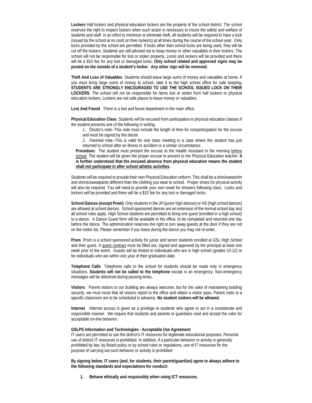**Lockers** Hall lockers and physical education lockers are the property of the school district. The school reserves the right to inspect lockers when such action is necessary to insure the safety and welfare of students and staff. In an effort to minimize or eliminate theft, all students will be required to have a lock (issued by the school at no cost) on their locker(s) at all times during the course of the school year. Only locks provided by the school are permitted. If locks other than school locks are being used, they will be cut off the lockers. Students are still advised not to keep money or other valuables in their lockers. The school will not be responsible for lost or stolen property. Locks and lockers will be provided and there will be a \$10 fee for any lost or damaged locks. **Only school related and approved signs may be posted on the outside of a student's locker. Any other sign will be removed.**

**Theft And Loss of Valuables** Students should leave large sums of money and valuables at home. If you must bring large sums of money to school, take it to the high school office for safe keeping**. STUDENTS ARE STRONGLY ENCOURAGED TO USE THE SCHOOL ISSUED LOCK ON THEIR LOCKERS**. The school will not be responsible for items lost or stolen from hall lockers or physical education lockers. Lockers are not safe places to leave money or valuables.

**Lost And Found** There is a lost and found department in the main office.

**Physical Education Class** Students will be excused from participation in physical education classes if the student presents one of the following in writing:

1. Doctor's note--This note must include the length of time for nonparticipation for the excuse and must be signed by the doctor.

2. Parental note--This is valid for one class meeting in a case where the student has just returned to school after an illness or accident or a similar circumstance.

Procedure: The student must present the excuse to the Health Assistant in the morning before school. The student will be given the proper excuse to present to the Physical Education teacher. **It is further understood that the excused absence from physical education means the student shall not participate in after school athletic activities.**

Students will be required to provide their own Physical Education uniform. This shall be a shirt/sweatshirt and shorts/sweatpants different than the clothing you wear to school. Proper shoes for physical activity will also be required. You will need to provide your own towel for showers following class. Locks and lockers will be provided and there will be a \$10 fee for any lost or damaged locks.

**School Dances (except Prom)** Only students in the JH (junior high dances) or HS (high school dances) are allowed at school dances. School sponsored dances are an extension of the normal school day and all school rules apply. High School students are permitted to bring one guest (enrolled in a high school) to a dance. A Dance Guest form will be available in the office, to be completed and returned one day before the dance. The administration reserves the right to turn away guests at the door if they are not on the visitor list. Please remember if you leave during the dance you may not re-enter.

**Prom** Prom is a school sponsored activity for junior and senior students enrolled at GSL High School and their guest. A guest contract must be filled out, signed and approved by the principal at least one week prior to the event. Guests will be limited to individuals who are in high school (grades 10-12) or for individuals who are within one year of their graduation date.

**Telephone Calls** Telephone calls to the school for students should be made only in emergency situations. **Students will not be called to the telephone** except in an emergency. Non-emergency messages will be delivered during passing times.

**Visitors** Parent visitors to our building are always welcome, but for the sake of maintaining building security, we must insist that all visitors report to the office and obtain a visitor pass. Parent visits to a specific classroom are to be scheduled in advance. **No student visitors will be allowed.**

**Internet** Internet access is given as a privilege to students who agree to act in a considerate and responsible manner. We require that students and parents or guardians read and accept the rules for acceptable on-line behavior.

#### **GSLPS Information and Technologies - Acceptable Use Agreement**

IT users are permitted to use the district's IT resources for legitimate educational purposes. Personal use of district IT resources is prohibited. In addition, if a particular behavior or activity is generally prohibited by law, by Board policy or by school rules or regulations, use of IT resources for the purpose of carrying out such behavior or activity is prohibited

**By signing below, IT users (and, for students, their parent/guardian) agree to always adhere to the following standards and expectations for conduct:**

**1. Behave ethically and responsibly when using ICT resources.**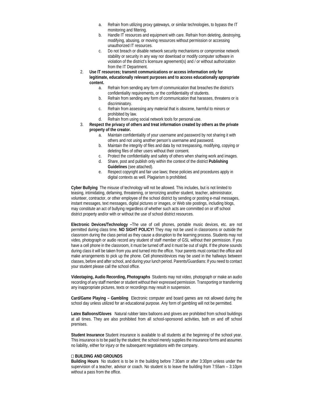- a. Refrain from utilizing proxy gateways, or similar technologies, to bypass the IT monitoring and filtering.
- b. Handle IT resources and equipment with care. Refrain from deleting, destroying, modifying, abusing, or moving resources without permission or accessing unauthorized IT resources.
- c. Do not breach or disable network security mechanisms or compromise network stability or security in any way nor download or modify computer software in violation of the district's licensure agreement(s) and / or without authorization from the IT Department.
- 2. **Use IT resources; transmit communications or access information only for legitimate, educationally relevant purposes and to access educationally appropriate content.**
	- a. Refrain from sending any form of communication that breaches the district's confidentiality requirements, or the confidentiality of students.
	- b. Refrain from sending any form of communication that harasses, threatens or is discriminatory.
	- c. Refrain from assessing any material that is obscene, harmful to minors or prohibited by law.
	- d. Refrain from using social network tools for personal use.
- 3. **Respect the privacy of others and treat information created by others as the private property of the creator.**
	- a. Maintain confidentiality of your username and password by not sharing it with others and not using another person's username and password.
	- b. Maintain the integrity of files and data by not trespassing, modifying, copying or deleting files of other users without their consent.
	- c. Protect the confidentiality and safety of others when sharing work and images.
	- d. Share, post and publish only within the context of the district **Publishing Guidelines** (see attached).
	- e. Respect copyright and fair use laws; these policies and procedures apply in digital contexts as well. Plagiarism is prohibited.

**Cyber Bullying** The misuse of technology will not be allowed. This includes, but is not limited to teasing, intimidating, defaming, threatening, or terrorizing another student, teacher, administrator, volunteer, contractor, or other employee of the school district by sending or posting e-mail messages, instant messages, text messages, digital pictures or images, or Web site postings, including blogs, may constitute an act of bullying regardless of whether such acts are committed on or off school district property and/or with or without the use of school district resources.

**Electronic Devices/Technology –**The use of cell phones, portable music devices, etc. are not permitted during class time. **NO SIGHT POLICY!** They may not be used in classrooms or outside the classroom during the class period as they cause a disruption to the learning process. Students may not video, photograph or audio record any student of staff member of GSL without their permission. If you have a cell phone in the classroom, it must be turned off and it must be out of sight. If the phone sounds during class it will be taken from you and turned into the office. Your parents must contact the office and make arrangements to pick up the phone. Cell phones/devices may be used in the hallways between classes, before and after school, and during your lunch period. Parents/Guardians: If you need to contact your student please call the school office.

**Videotaping, Audio Recording, Photographs** Students may not video, photograph or make an audio recording of any staff member or student without their expressed permission. Transporting or transferring any inappropriate pictures, texts or recordings may result in suspension.

**Card/Game Playing – Gambling** Electronic computer and board games are not allowed during the school day unless utilized for an educational purpose. Any form of gambling will not be permitted.

**Latex Balloons/Gloves** Natural rubber latex balloons and gloves are prohibited from school buildings at all times. They are also prohibited from all school-sponsored activities, both on and off school premises.

**Student Insurance** Student insurance is available to all students at the beginning of the school year. This insurance is to be paid by the student; the school merely supplies the insurance forms and assumes no liability, either for injury or the subsequent negotiations with the company.

#### **BUILDING AND GROUNDS**

**Building Hours** No student is to be in the building before 7:30am or after 3:30pm unless under the supervision of a teacher, advisor or coach. No student is to leave the building from 7:55am – 3:10pm without a pass from the office.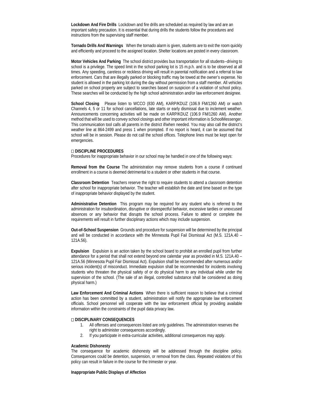**Lockdown And Fire Drills** Lockdown and fire drills are scheduled as required by law and are an important safety precaution. It is essential that during drills the students follow the procedures and instructions from the supervising staff member.

**Tornado Drills And Warnings** When the tornado alarm is given, students are to exit the room quickly and efficiently and proceed to the assigned location. Shelter locations are posted in every classroom.

**Motor Vehicles And Parking** The school district provides bus transportation for all students--driving to school is a privilege. The speed limit in the school parking lot is 15 m.p.h. and is to be observed at all times. Any speeding, careless or reckless driving will result in parental notification and a referral to law enforcement. Cars that are illegally parked or blocking traffic may be towed at the owner's expense. No student is allowed in the parking lot during the day without permission from a staff member. All vehicles parked on school property are subject to searches based on suspicion of a violation of school policy. These searches will be conducted by the high school administration and/or law enforcement designee.

**School Closing** Please listen to WCCO (830 AM), KARP/KDUZ (106.9 FM/1260 AM) or watch Channels 4, 5 or 11 for school cancellations, late starts or early dismissal due to inclement weather. Announcements concerning activities will be made on KARP/KDUZ (106.9 FM/1260 AM). Another method that will be used to convey school closings and other important information is SchoolMessenger. This communication tool calls all parents in the district if/when needed. You may also call the district's weather line at 864-2499 and press 1 when prompted. If no report is heard, it can be assumed that school will be in session. Please do not call the school offices. Telephone lines must be kept open for emergencies.

#### **DISCIPLINE PROCEDURES**

Procedures for inappropriate behavior in our school may be handled in one of the following ways:

**Removal from the Course** The administration may remove students from a course if continued enrollment in a course is deemed detrimental to a student or other students in that course.

**Classroom Detention** Teachers reserve the right to require students to attend a classroom detention after school for inappropriate behavior. The teacher will establish the date and time based on the type of inappropriate behavior displayed by the student.

**Administrative Detention** This program may be required for any student who is referred to the administration for insubordination, disruptive or disrespectful behavior, excessive tardies or unexcused absences or any behavior that disrupts the school process. Failure to attend or complete the requirements will result in further disciplinary actions which may include suspension.

**Out-of-School Suspension** Grounds and procedure for suspension will be determined by the principal and will be conducted in accordance with the Minnesota Pupil Fail Dismissal Act (M.S. 121A.40 – 121A.56).

**Expulsion** Expulsion is an action taken by the school board to prohibit an enrolled pupil from further attendance for a period that shall not extend beyond one calendar year as provided in M.S. 121A.40 – 121A.56 (Minnesota Pupil Fair Dismissal Act). Expulsion shall be recommended after numerous and/or serious incident(s) of misconduct. Immediate expulsion shall be recommended for incidents involving students who threaten the physical safety of or do physical harm to any individual while under the supervision of the school. (The sale of an illegal, controlled substance shall be considered as doing physical harm.)

**Law Enforcement And Criminal Actions** When there is sufficient reason to believe that a criminal action has been committed by a student, administration will notify the appropriate law enforcement officials. School personnel will cooperate with the law enforcement official by providing available information within the constraints of the pupil data privacy law**.** 

#### **DISCIPLINARY CONSEQUENCES**

- 1. All offenses and consequences listed are only guidelines. The administration reserves the right to administer consequences accordingly.
- 2. If you participate in extra-curricular activities, additional consequences may apply.

#### **Academic Dishonesty**

The consequence for academic dishonesty will be addressed through the discipline policy. Consequences could be detention, suspension, or removal from the class. Repeated violations of this policy can result in failure in the course for the trimester or year.

#### **Inappropriate Public Displays of Affection**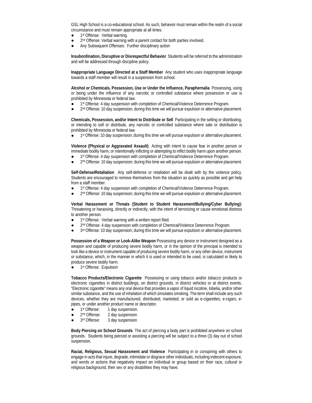GSL High School is a co-educational school. As such, behavior must remain within the realm of a social circumstance and must remain appropriate at all times.

- 1st Offense: Verbal warning.
- 2<sup>nd</sup> Offense: Verbal warning with a parent contact for both parties involved.
- Any Subsequent Offenses: Further disciplinary action

**Insubordination, Disruptive or Disrespectful Behavior** Students will be referred to the administration and will be addressed through discipline policy.

**Inappropriate Language Directed at a Staff Member** Any student who uses inappropriate language towards a staff member will result in a suspension from school.

**Alcohol or Chemicals, Possession, Use or Under the Influence, Paraphernalia** Possessing, using or being under the influence of any narcotic or controlled substance where possession or use is prohibited by Minnesota or federal law.

- 1st Offense: 4 day suspension with completion of Chemical/Violence Deterrence Program.
- 2<sup>nd</sup> Offense: 10 day suspension; during this time we will pursue expulsion or alternative placement.

**Chemicals, Possession, and/or Intent to Distribute or Sell** Participating in the selling or distributing, or intending to sell or distribute, any narcotic or controlled substance where sale or distribution is prohibited by Minnesota or federal law.

1<sup>st</sup> Offense: 10 day suspension; during this time we will pursue expulsion or alternative placement.

**Violence (Physical or Aggravated Assault)** Acting with intent to cause fear in another person or immediate bodily harm, or intentionally inflicting or attempting to inflict bodily harm upon another person.

- 1st Offense: 4 day suspension with completion of Chemical/Violence Deterrence Program.
- 2<sup>nd</sup> Offense: 10 day suspension; during this time we will pursue expulsion or alternative placement.

**Self-Defense/Retaliation** Any self-defense or retaliation will be dealt with by the violence policy. Students are encouraged to remove themselves from the situation as quickly as possible and get help from a staff member.

- 1st Offense: 4 day suspension with completion of Chemical/Violence Deterrence Program.
- 2<sup>nd</sup> Offense: 10 day suspension; during this time we will pursue expulsion or alternative placement.

**Verbal Harassment or Threats (Student to Student Harassment/Bullying/Cyber Bullying):**  Threatening or harassing, directly or indirectly, with the intent of terrorizing or cause emotional distress to another person.

- 1st Offense: Verbal warning with a written report filed.
- 2<sup>nd</sup> Offense: 4 day suspension with completion of Chemical/Violence Deterrence Program.
- 3rd Offense: 10 day suspension; during this time we will pursue expulsion or alternative placement.

**Possession of a Weapon or Look-Alike Weapon** Possessing any device or instrument designed as a weapon and capable of producing severe bodily harm, or in the opinion of the principal is intended to look like a device or instrument capable of producing severe bodily harm, or any other device, instrument or substance, which, in the manner in which it is used or intended to be used, is calculated or likely to produce severe bodily harm.

1st Offense: Expulsion

**Tobacco Products/Electronic Cigarette** Possessing or using tobacco and/or tobacco products or electronic cigarettes in district buildings, on district grounds, in district vehicles or at district events. "Electronic cigarette" means any oral device that provides a vapor of liquid nicotine, lobelia, and/or other similar substance, and the use of inhalation of which simulates smoking. The term shall include any such devices, whether they are manufactured, distributed, marketed, or sold as e-cigarettes, e-cigars, epipes, or under another product name or descriptor.

- 1<sup>st</sup> Offense: 1 day suspension.
- 2<sup>nd</sup> Offense: 2 day suspension
- 3rd Offense: 3 day suspension

**Body Piercing on School Grounds** The act of piercing a body part is prohibited anywhere on school grounds. Students being pierced or assisting a piercing will be subject to a three (3) day out of school suspension.

**Racial, Religious, Sexual Harassment and Violence** Participating in or conspiring with others to engage in acts that injure, degrade, intimidate or disgrace other individuals, including indecent exposure, and words or actions that negatively impact an individual or group based on their race, cultural or religious background, their sex or any disabilities they may have.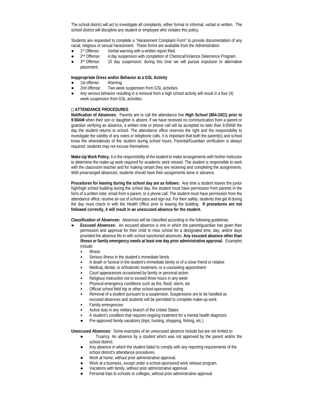The school district will act to investigate all complaints, either formal or informal, verbal or written. The school district will discipline any student or employee who violates this policy.

Students are requested to complete a "Harassment Complaint Form" to provide documentation of any racial, religious or sexual harassment. These forms are available from the Administration.

- 1<sup>st</sup> Offense: Verbal warning with a written report filed.
- 2<sup>nd</sup> Offense: 4 day suspension with completion of Chemical/Violence Deterrence Program.
- 3rd Offense: 10 day suspension; during this time we will pursue expulsion or alternative placement.

### **Inappropriate Dress and/or Behavior at a GSL Activity**

- 1st offense: Warning
- 2nd offense: Two week suspension from GSL activities.
- Any serious behavior resulting in a removal from a high school activity will result in a four (4) week suspension from GSL activities.

#### **ATTENDANCE PROCEDURES**

**Notification of Absences:** Parents are to call the attendance line **High School (864-2421) prior to 9:00AM** when their son or daughter is absent. If we have received no communication from a parent or guardian verifying an absence, a written note or phone call will be accepted no later than 9:00AM the day the student returns to school. The attendance office reserves the right and the responsibility to investigate the validity of any notes or telephone calls. It is important that both the parent(s) and school know the whereabouts of the student during school hours. Parental/Guardian verification is always required; students may not excuse themselves.

**Make-Up Work Policy.** It is the responsibility of the student to make arrangements with his/her instructor to determine the make-up work required for academic work missed. The student is responsible to work with the classroom teacher and for making certain they are receiving and completing the assignments. With prearranged absences, students should have their assignments done in advance.

**Procedures for leaving during the school day are as follows:** Any time a student leaves the junior high/high school building during the school day, the student must have permission from parents in the form of a written note, email from a parent, or a phone call. The student must have permission from the attendance office, receive an out of school pass and sign out. For their safety, students that get ill during the day must check in with the Health Office prior to leaving the building. **If procedures are not followed correctly, it will result in an unexcused absence for the student.**

**Classification of Absences:** Absences will be classified according to the following guidelines.

- **Excused Absences:** An excused absence is one in which the parent/guardian has given their permission and approval for their child to miss school for a designated time, day, and/or days provided the absence fits in with school sanctioned absences. **Any excused absence other than illness or family emergency needs at least one day prior administrative approval.** Examples include:
	- Illness
	- Serious illness in the student's immediate family
	- A death or funeral in the student's immediate family or of a close friend or relative
	- Medical**,** dental, or orthodontic treatment, or a counseling appointment
	- Court appearances occasioned by family or personal action
	- Religious instruction not to exceed three hours in any week
	- Physical emergency conditions such as fire, flood, storm, etc.
	- Official school field trip or other school-sponsored outing
	- Removal of a student pursuant to a suspension. Suspensions are to be handled as excused absences and students will be permitted to complete make-up work.
	- Family emergencies
	- Active duty in any military branch of the United States
	- A student's condition that requires ongoing treatment for a mental health diagnosis
	- Pre-approved family vacations (trips, hunting, shopping, fishing, etc.)

**Unexcused Absences:** Some examples of an unexcused absence include but are not limited to:

- Truancy. An absence by a student which was not approved by the parent and/or the school district.
- Any absence in which the student failed to comply with any reporting requirements of the school district's attendance procedures.
- Work at home, without prior administrative approval.
- Work at a business, except under a school-sponsored work release program.
- Vacations with family, without prior administrative approval.
- Personal trips to schools or colleges, without prior administrative approval.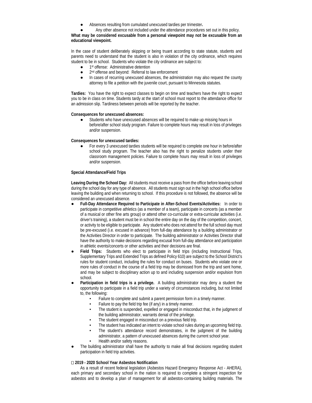● Absences resulting from cumulated unexcused tardies per trimester**.** 

Any other absence not included under the attendance procedures set out in this policy.

**What may be considered excusable from a personal viewpoint may not be excusable from an educational viewpoint.**

In the case of student deliberately skipping or being truant according to state statute, students and parents need to understand that the student is also in violation of the city ordinance, which requires student to be in school. Students who violate the city ordinance are subject to:

- 1<sup>st</sup> offense: Administrative detention
- 2<sup>nd</sup> offense and beyond: Referral to law enforcement
- In cases of recurring unexcused absences, the administration may also request the county attorney to file a petition with the juvenile court, pursuant to Minnesota statutes.

**Tardies:** You have the right to expect classes to begin on time and teachers have the right to expect you to be in class on time. Students tardy at the start of school must report to the attendance office for an admission slip. Tardiness between periods will be reported by the teacher.

#### **Consequences for unexcused absences:**

Students who have unexcused absences will be required to make up missing hours in before/after school study program. Failure to complete hours may result in loss of privileges and/or suspension.

#### **Consequences for unexcused tardies:**

For every 3 unexcused tardies students will be required to complete one hour in before/after school study program. The teacher also has the right to penalize students under their classroom management policies. Failure to complete hours may result in loss of privileges and/or suspension.

#### **Special Attendance/Field Trips**

**Leaving During the School Day:** All students must receive a pass from the office before leaving school during the school day for any type of absence. All students must sign out in the high school office before leaving the building and when returning to school. If this procedure is not followed, the absence will be considered an unexcused absence.

- **Full-Day Attendance Required to Participate in After-School Events/Activities:** In order to participate in competitive athletics (as a member of a team), participate in concerts (as a member of a musical or other fine arts group) or attend other co-curricular or extra-curricular activities (i.e. driver's training), a student must be in school the entire day on the day of the competition, concert, or activity to be eligible to participate. Any student who does not attend for the full school day must be pre-excused (i.e. excused in advance) from full-day attendance by a building administrator or the Activities Director in order to participate. The building administrator or Activities Director shall have the authority to make decisions regarding excusal from full-day attendance and participation in athletic events/concerts or other activities and their decisions are final.
- Field Trips: Students who elect to participate in field trips (including Instructional Trips, Supplementary Trips and Extended Trips as defined Policy 610) are subject to the School District's rules for student conduct, including the rules for conduct on buses. Students who violate one or more rules of conduct in the course of a field trip may be dismissed from the trip and sent home, and may be subject to disciplinary action up to and including suspension and/or expulsion from school.
- Participation in field trips is a privilege. A building administrator may deny a student the opportunity to participate in a field trip under a variety of circumstances including, but not limited to, the following:
	- Failure to complete and submit a parent permission form in a timely manner.
	- Failure to pay the field trip fee (if any) in a timely manner.
	- The student is suspended, expelled or engaged in misconduct that, in the judgment of the building administrator, warrants denial of the privilege.
	- The student engaged in misconduct on a previous field trip.
	- The student has indicated an intent to violate school rules during an upcoming field trip.
	- The student's attendance record demonstrates, in the judgment of the building
		- administrator, a pattern of unexcused absences during the current school year.
	- Health and/or safety reasons.
- The building administrator shall have the authority to make all final decisions regarding student participation in field trip activities.

#### **2019 - 2020 School Year Asbestos Notification**

As a result of recent federal legislation (Asbestos Hazard Emergency Response Act - AHERA), each primary and secondary school in the nation is required to complete a stringent inspection for asbestos and to develop a plan of management for all asbestos-containing building materials. The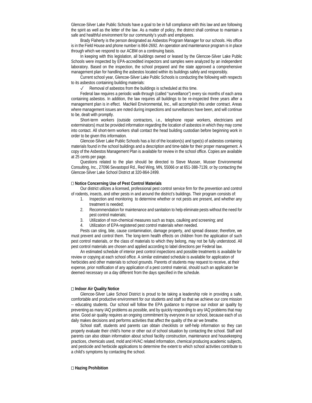Glencoe-Silver Lake Public Schools have a goal to be in full compliance with this law and are following the spirit as well as the letter of the law. As a matter of policy, the district shall continue to maintain a safe and healthful environment for our community's youth and employees.

Brady Flaherty is the person designated as Asbestos Program Manager for our schools. His office is in the Field House and phone number is 864-2692. An operation and maintenance program is in place through which we respond to our ACBM on a continuing basis.

In keeping with this legislation, all buildings owned or leased by the Glencoe-Silver Lake Public Schools were inspected by EPA-accredited inspectors and samples were analyzed by an independent laboratory. Based on the inspection, the school prepared and the state approved a comprehensive management plan for handling the asbestos located within its buildings safely and responsibly.

Current school year, Glencoe-Silver Lake Public Schools is conducting the following with respects to its asbestos containing building materials:

Removal of asbestos from the buildings is scheduled at this time.

Federal law requires a periodic walk-through (called "surveillance") every six months of each area containing asbestos. In addition, the law requires all buildings to be re-inspected three years after a management plan is in effect. MacNeil Environmental, Inc., will accomplish this under contract. Areas where management issues are noted during inspections and surveillances have been, and will continue to be, dealt with promptly.

Short-term workers (outside contractors, i.e., telephone repair workers, electricians and exterminators) must be provided information regarding the location of asbestos in which they may come into contact. All short-term workers shall contact the head building custodian before beginning work in order to be given this information.

Glencoe-Silver Lake Public Schools has a list of the location(s) and type(s) of asbestos containing materials found in the school buildings and a description and time-table for their proper management. A copy of the Asbestos Management Plan is available for review in the school office. Copies are available at 25 cents per page.

Questions related to the plan should be directed to Steve Musser, Musser Environmental Consulting, Inc., 27096 Sevastopol Rd., Red Wing, MN, 55066 or at 651-388-7139, or by contacting the Glencoe-Silver Lake School District at 320-864-2499.

#### **Notice Concerning Use of Pest Control Materials**

Our district utilizes a licensed, professional pest control service firm for the prevention and control of rodents, insects, and other pests in and around the district's buildings. Their program consists of:

- 1. Inspection and monitoring to determine whether or not pests are present, and whether any treatment is needed;
- 2. Recommendation for maintenance and sanitation to help eliminate pests without the need for pest control materials;
- 3. Utilization of non-chemical measures such as traps, caulking and screening; and
- 4. Utilization of EPA-registered pest control materials when needed.

Pests can sting, bite, cause contamination, damage property, and spread disease; therefore, we must prevent and control them. The long-term health effects on children from the application of such pest control materials, or the class of materials to which they belong, may not be fully understood. All pest control materials are chosen and applied according to label directions per Federal law.

An estimated schedule of interior pest control inspections and possible treatments is available for review or copying at each school office. A similar estimated schedule is available for application of herbicides and other materials to school grounds. Parents of students may request to receive, at their expense, prior notification of any application of a pest control material, should such an application be deemed necessary on a day different from the days specified in the schedule.

#### **Indoor Air Quality Notice**

Glencoe-Silver Lake School District is proud to be taking a leadership role in providing a safe, comfortable and productive environment for our students and staff so that we achieve our core mission -- educating students. Our school will follow the EPA guidance to improve our indoor air quality by preventing as many IAQ problems as possible, and by quickly responding to any IAQ problems that may arise. Good air quality requires an ongoing commitment by everyone in our school, because each of us daily makes decisions and performs activities that affect the quality of the air we breathe.

School staff, students and parents can obtain checklists or self-help information so they can properly evaluate their child's home or other out of school situation by contacting the school. Staff and parents can also obtain information about school facility construction, maintenance and housekeeping practices, chemicals used, mold and HVAC related information, chemical producing academic subjects, and pesticide and herbicide applications to determine the extent to which school activities contribute to a child's symptoms by contacting the school.

#### **Hazing Prohibition**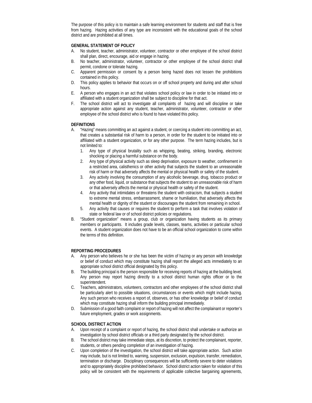The purpose of this policy is to maintain a safe learning environment for students and staff that is free from hazing. Hazing activities of any type are inconsistent with the educational goals of the school district and are prohibited at all times.

#### **GENERAL STATEMENT OF POLICY**

- A. No student, teacher, administrator, volunteer, contractor or other employee of the school district shall plan, direct, encourage, aid or engage in hazing.
- B. No teacher, administrator, volunteer, contractor or other employee of the school district shall permit, condone or tolerate hazing.
- C. Apparent permission or consent by a person being hazed does not lessen the prohibitions contained in this policy.
- D. This policy applies to behavior that occurs on or off school property and during and after school hours.
- E. A person who engages in an act that violates school policy or law in order to be initiated into or affiliated with a student organization shall be subject to discipline for that act.
- F. The school district will act to investigate all complaints of hazing and will discipline or take appropriate action against any student, teacher, administrator, volunteer, contractor or other employee of the school district who is found to have violated this policy.

#### **DEFINITIONS**

- A. "Hazing" means committing an act against a student, or coercing a student into committing an act, that creates a substantial risk of harm to a person, in order for the student to be initiated into or affiliated with a student organization, or for any other purpose. The term hazing includes, but is not limited to:
	- 1. Any type of physical brutality such as whipping, beating, striking, branding, electronic shocking or placing a harmful substance on the body.
	- 2. Any type of physical activity such as sleep deprivation, exposure to weather, confinement in a restricted area, calisthenics or other activity that subjects the student to an unreasonable risk of harm or that adversely affects the mental or physical health or safety of the student.
	- 3. Any activity involving the consumption of any alcoholic beverage, drug, tobacco product or any other food, liquid, or substance that subjects the student to an unreasonable risk of harm or that adversely affects the mental or physical health or safety of the student.
	- 4. Any activity that intimidates or threatens the student with ostracism, that subjects a student to extreme mental stress, embarrassment, shame or humiliation, that adversely affects the mental health or dignity of the student or discourages the student from remaining in school.
	- 5. Any activity that causes or requires the student to perform a task that involves violation of state or federal law or of school district policies or regulations.
- "Student organization" means a group, club or organization having students as its primary members or participants. It includes grade levels, classes, teams, activities or particular school events. A student organization does not have to be an official school organization to come within the terms of this definition.

#### **REPORTING PROCEDURES**

- A. Any person who believes he or she has been the victim of hazing or any person with knowledge or belief of conduct which may constitute hazing shall report the alleged acts immediately to an appropriate school district official designated by this policy.
- B. The building principal is the person responsible for receiving reports of hazing at the building level. Any person may report hazing directly to a school district human rights officer or to the superintendent.
- C. Teachers, administrators, volunteers, contractors and other employees of the school district shall be particularly alert to possible situations, circumstances or events which might include hazing. Any such person who receives a report of, observes, or has other knowledge or belief of conduct which may constitute hazing shall inform the building principal immediately.
- D. Submission of a good faith complaint or report of hazing will not affect the complainant or reporter's future employment, grades or work assignments.

#### **SCHOOL DISTRICT ACTION**

- A. Upon receipt of a complaint or report of hazing, the school district shall undertake or authorize an investigation by school district officials or a third party designated by the school district.
- B. The school district may take immediate steps, at its discretion, to protect the complainant, reporter, students, or others pending completion of an investigation of hazing.
- C. Upon completion of the investigation, the school district will take appropriate action. Such action may include, but is not limited to, warning, suspension, exclusion, expulsion, transfer, remediation, termination or discharge. Disciplinary consequences will be sufficiently severe to deter violations and to appropriately discipline prohibited behavior. School district action taken for violation of this policy will be consistent with the requirements of applicable collective bargaining agreements,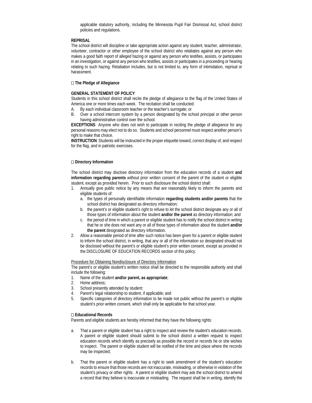applicable statutory authority, including the Minnesota Pupil Fair Dismissal Act, school district policies and regulations.

#### **REPRISAL**

The school district will discipline or take appropriate action against any student, teacher, administrator, volunteer, contractor or other employee of the school district who retaliates against any person who makes a good faith report of alleged hazing or against any person who testifies, assists, or participates in an investigation, or against any person who testifies, assists or participates in a proceeding or hearing relating to such hazing. Retaliation includes, but is not limited to, any form of intimidation, reprisal or harassment.

#### **The Pledge of Allegiance**

#### **GENERAL STATEMENT OF POLICY**

Students in this school district shall recite the pledge of allegiance to the flag of the United States of America one or more times each week. The recitation shall be conducted:

- A. By each individual classroom teacher or the teacher's surrogate; or
- B. Over a school intercom system by a person designated by the school principal or other person having administrative control over the school.

**EXCEPTIONS** Anyone who does not wish to participate in reciting the pledge of allegiance for any personal reasons may elect not to do so. Students and school personnel must respect another person's right to make that choice.

**INSTRUCTION** Students will be instructed in the proper etiquette toward, correct display of, and respect for the flag, and in patriotic exercises.

#### **Directory Information**

The school district may disclose directory information from the education records of a student **and information regarding parents** without prior written consent of the parent of the student or eligible student, except as provided herein. Prior to such disclosure the school district shall:

- 1. Annually give public notice by any means that are reasonably likely to inform the parents and eligible students of:
	- a. the types of personally identifiable information **regarding students and/or parents** that the school district has designated as directory information;
	- b. the parent's or eligible student's right to refuse to let the school district designate any or all of those types of information about the student **and/or the parent** as directory information; and
	- c. the period of time in which a parent or eligible student has to notify the school district in writing that he or she does not want any or all of those types of information about the student **and/or the parent** designated as directory information.
- 2. Allow a reasonable period of time after such notice has been given for a parent or eligible student to inform the school district, in writing, that any or all of the information so designated should not be disclosed without the parent's or eligible student's prior written consent, except as provided in the DISCLOSURE OF EDUCATION RECORDS section of this policy.

Procedure for Obtaining Nondisclosure of Directory Information

The parent's or eligible student's written notice shall be directed to the responsible authority and shall include the following:

- 1. Name of the student **and/or parent, as appropriate**;
- 2. Home address;
- 3. School presently attended by student;
- 4. Parent's legal relationship to student, if applicable; and
- 5. Specific categories of directory information to be made not public without the parent's or eligible student's prior written consent, which shall only be applicable for that school year.

#### **Educational Records**

Parents and eligible students are hereby informed that they have the following rights:

- a. That a parent or eligible student has a right to inspect and review the student's education records. A parent or eligible student should submit to the school district a written request to inspect education records which identify as precisely as possible the record or records he or she wishes to inspect. The parent or eligible student will be notified of the time and place where the records may be inspected;
- b. That the parent or eligible student has a right to seek amendment of the student's education records to ensure that those records are not inaccurate, misleading, or otherwise in violation of the student's privacy or other rights. A parent or eligible student may ask the school district to amend a record that they believe is inaccurate or misleading. The request shall be in writing, identify the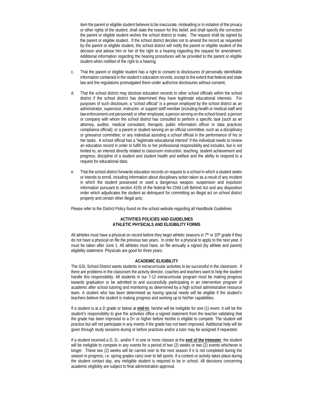item the parent or eligible student believes to be inaccurate, misleading or in violation of the privacy or other rights of the student, shall state the reason for this belief, and shall specify the correction the parent or eligible student wishes the school district to make. The request shall be signed by the parent or eligible student. If the school district decides not to amend the record as requested by the parent or eligible student, the school district will notify the parent or eligible student of the decision and advise him or her of the right to a hearing regarding the request for amendment. Additional information regarding the hearing procedures will be provided to the parent or eligible student when notified of the right to a hearing;

- c. That the parent or eligible student has a right to consent to disclosures of personally identifiable information contained in the student's education records, except to the extent that federal and state law and the regulations promulgated there under authorize disclosures without consent;
- d. That the school district may disclose education records to other school officials within the school district if the school district has determined they have legitimate educational interests. For purposes of such disclosure, a "school official" is a person employed by the school district as an administrator, supervisor, instructor, or support staff member (including health or medical staff and law enforcement unit personnel) or other employee; a person serving on the school board; a person or company with whom the school district has consulted to perform a specific task (such as an attorney, auditor, medical consultant, therapist, public information officer or data practices compliance official); or a parent or student serving on an official committee, such as a disciplinary or grievance committee; or any individual assisting a school official in the performance of his or her tasks. A school official has a "legitimate educational interest" if the individual needs to review an education record in order to fulfill his or her professional responsibility and includes, but is not limited to, an interest directly related to classroom instruction, teaching, student achievement and progress, discipline of a student and student health and welfare and the ability to respond to a request for educational data;
- e. That the school district forwards education records on request to a school in which a student seeks or intends to enroll, including information about disciplinary action taken as a result of any incident in which the student possessed or used a dangerous weapon, suspension and expulsion information pursuant to section 4155 of the federal No Child Left Behind Act and any disposition order which adjudicates the student as delinquent for committing an illegal act on school district property and certain other illegal acts;

Please refer to the District Policy found on the school website regarding all Handbook Guidelines

#### **ACTIVITIES POLICIES AND GUIDELINES ATHLETIC PHYSICALS AND ELIGIBILITY FORMS**

All athletes must have a physical on record before they begin athletic seasons in  $7<sup>th</sup>$  or  $10<sup>th</sup>$  grade if they do not have a physical on file the previous two years. In order for a physical to apply to the next year, it must be taken after June 1. All athletes must have, on file annually a signed (by athlete and parent) eligibility statement. Physicals are good for three years.

#### **ACADEMIC ELIGIBILITY**

The GSL School District wants students in extracurricular activities to be successful in the classroom. If there are problems in the classroom the activity director, coaches and teachers want to help the student handle this responsibility. All students in our 7-12 extracurricular program must be making progress towards graduation or be admitted to and successfully participating in an intervention program of academic after school tutoring and monitoring as determined by a high school administrative resource team. A student who has been determined as having special needs will be eligible if the student's teachers believe the student is making progress and working up to his/her capabilities.

If a student is at a D grade or below at **mid-tri**, he/she will be ineligible for one (1) event. It will be the student's responsibility to give the activities office a signed statement from the teacher validating that the grade has been improved to a D+ or higher before he/she is eligible to compete. The student will practice but will not participate in any events if the grade has not been improved. Additional help will be given through study sessions during or before practices and/or a tutor may be assigned if requested.

If a student received a D, D-, and/or F in one or more classes at the **end of the trimester**, the student will be ineligible to compete in any events for a period of two (2) weeks or two (2) events whichever is longer. These two (2) weeks will be carried over to the next season if it is not completed during the season in progress, i.e. spring grades carry over to fall sports. If a contest or activity takes place during the student contact day, any ineligible student is required to be in school. All decisions concerning academic eligibility are subject to final administration approval.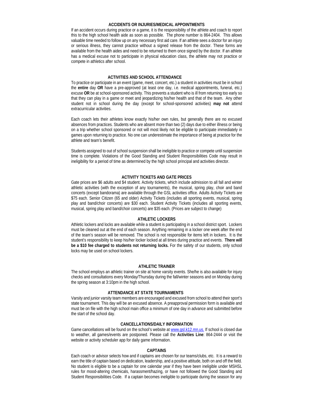#### **ACCIDENTS OR INJURIES/MEDICAL APPOINTMENTS**

If an accident occurs during practice or a game, it is the responsibility of the athlete and coach to report this to the high school health aide as soon as possible. The phone number is 864-2404. This allows valuable time needed to follow up on any necessary first aid care. If an athlete sees a doctor for an injury or serious illness, they cannot practice without a signed release from the doctor. These forms are available from the health aides and need to be returned to them once signed by the doctor. If an athlete has a medical excuse not to participate in physical education class, the athlete may not practice or compete in athletics after school.

#### **ACTIVITIES AND SCHOOL ATTENDANCE**

To practice or participate in an event (game, meet, concert, etc.) a student in activities must be in school the **entire** day **OR** have a pre-approved (at least one day, i.e. medical appointments, funeral, etc.) excuse **OR** be at school-sponsored activity. This prevents a student who is ill from returning too early so that they can play in a game or meet and jeopardizing his/her health and that of the team. Any other student not in school during the day (except for school-sponsored activities) **may not** attend extracurricular activities.

Each coach lets their athletes know exactly his/her own rules, but generally there are no excused absences from practices. Students who are absent more than two (2) days due to either illness or being on a trip whether school sponsored or not will most likely not be eligible to participate immediately in games upon returning to practice. No one can underestimate the importance of being at practice for the athlete and team's benefit.

Students assigned to out of school suspension shall be ineligible to practice or compete until suspension time is complete. Violations of the Good Standing and Student Responsibilities Code may result in ineligibility for a period of time as determined by the high school principal and activities director.

#### **ACTIVITY TICKETS AND GATE PRICES**

Gate prices are \$6 adults and \$4 student. Activity tickets, which include admission to all fall and winter athletic activities (with the exception of any tournaments), the musical, spring play, choir and band concerts (except bandorama) are available through the GSL activities office. Adults Activity Tickets are \$75 each. Senior Citizen (65 and older) Activity Tickets (includes all sporting events, musical, spring play and band/choir concerts) are \$30 each. Student Activity Tickets (includes all sporting events, musical, spring play and band/choir concerts) are \$35 each. (Prices are subject to change)

#### **ATHLETIC LOCKERS**

Athletic lockers and locks are available while a student is participating in a school district sport. Lockers must be cleaned out at the end of each season. Anything remaining in a locker one week after the end of the team's season will be removed. The school is not responsible for items left in lockers. It is the student's responsibility to keep his/her locker locked at all times during practice and events. **There will be a \$10 fee charged to students not returning locks.** For the safety of our students, only school locks may be used on school lockers.

#### **ATHLETIC TRAINER**

The school employs an athletic trainer on site at home varsity events. She/he is also available for injury checks and consultations every Monday/Thursday during the fall/winter seasons and on Monday during the spring season at 3:10pm in the high school.

#### **ATTENDANCE AT STATE TOURNAMENTS**

Varsity and junior varsity team members are encouraged and excused from school to attend their sport's state tournament. This day will be an excused absence. A preapproval permission form is available and must be on file with the high school main office a minimum of one day in advance and submitted before the start of the school day.

#### **CANCELLATIONS/DAILY INFORMATION**

Game cancellations will be found on the school's website a[t www.gsl.k12.mn.us.](http://www.gsl.k12.mn.us/) If school is closed due to weather, all games/events are postponed. Please call the **Activities Line**: 864-2444 or visit the website or activity scheduler app for daily game information.

#### **CAPTAINS**

Each coach or advisor selects how and if captains are chosen for our teams/clubs, etc. It is a reward to earn the title of captain based on dedication, leadership, and a positive attitude, both on and off the field. No student is eligible to be a captain for one calendar year if they have been ineligible under MSHSL rules for mood-altering chemicals, harassment/hazing, or have not followed the Good Standing and Student Responsibilities Code. If a captain becomes ineligible to participate during the season for any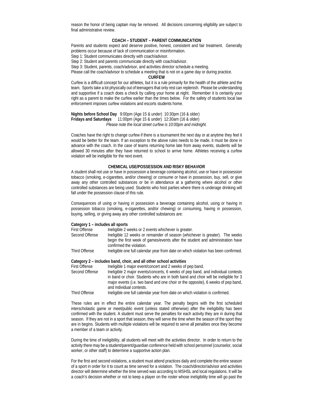reason the honor of being captain may be removed. All decisions concerning eligibility are subject to final administrative review.

#### **COACH – STUDENT – PARENT COMMUNICATION**

Parents and students expect and deserve positive, honest, consistent and fair treatment. Generally problems occur because of lack of communication or misinformation.

Step 1: Student communicates directly with coach/advisor.

Step 2: Student and parents communicate directly with coach/advisor.

Step 3: Student, parents, coach/advisor, and activities director schedule a meeting.

Please call the coach/advisor to schedule a meeting that is not on a game day or during practice.

#### **CURFEW**

Curfew is a difficult concept for our athletes, but it is a rule primarily for the health of the athlete and the team. Sports take a lot physically out of teenagers that only rest can replenish. Please be understanding and supportive if a coach does a check by calling your home at night. Remember it is certainly your right as a parent to make the curfew earlier than the times below. For the safety of students local law enforcement imposes curfew violations and escorts students home.

**Nights before School Day** 9:00pm (Age 15 & under) 10:30pm (16 & older) **Fridays and Saturdays** 11:00pm (Age 15 & under) 12:30am (16 & older) *Please note the local street curfew is 10:00pm and midnight.*

Coaches have the right to change curfew if there is a tournament the next day or at anytime they feel it would be better for the team. If an exception to the above rules needs to be made, it must be done in advance with the coach. In the case of teams returning home late from away events, students will be allowed 30 minutes after they have returned to school to arrive home. Athletes receiving a curfew violation will be ineligible for the next event.

#### **CHEMICAL USE/POSSESSION AND RISKY BEHAVIOR**

A student shall not use or have in possession a beverage containing alcohol, use or have in possession tobacco (smoking, e-cigarettes, and/or chewing) or consume or have in possession, buy, sell, or give away any other controlled substances or be in attendance at a gathering where alcohol or other controlled substances are being used. Students who host parties where there is underage drinking will fall under the possession clause of this rule.

Consequences of using or having in possession a beverage containing alcohol, using or having in possession tobacco (smoking, e-cigarettes, and/or chewing) or consuming, having in possession, buying, selling, or giving away any other controlled substances are:

#### **Category 1 – includes all sports**

| <b>First Offense</b> | Ineligible 2 weeks or 2 events whichever is greater.                               |
|----------------------|------------------------------------------------------------------------------------|
| Second Offense       | Ineligible 12 weeks or remainder of season (whichever is greater). The weeks       |
|                      | begin the first week of games/events after the student and administration have     |
|                      | confirmed the violation.                                                           |
| Third Offense        | Ineligible one full calendar year from date on which violation has been confirmed. |

**Category 2 – includes band, choir, and all other school activities**

- First Offense Ineligible 1 major event/concert and 2 weeks of pep band.<br>Second Offense Ineligible 2 major events/concerts. 6 weeks of pep band. Ineligible 2 major events/concerts, 6 weeks of pep band, and individual contests in band or choir. Students who are in both band and choir will be ineligible for 3 major events (i.e. two band and one choir or the opposite), 6 weeks of pep band, and individual contests.
- Third Offense Ineligible one full calendar year from date on which violation is confirmed.

These rules are in effect the entire calendar year. The penalty begins with the first scheduled interscholastic game or meet/public event (unless stated otherwise) after the ineligibility has been confirmed with the student. A student must serve the penalties for each activity they are in during that season. If they are not in a sport that season, they will serve the time when the season of the sport they are in begins. Students with multiple violations will be required to serve all penalties once they become a member of a team or activity.

During the time of ineligibility, all students will meet with the activities director. In order to return to the activity there may be a student/parent/guardian conference held with school personnel (counselor, social worker, or other staff) to determine a supportive action plan.

For the first and second violations, a student must attend practices daily and complete the entire season of a sport in order for it to count as time served for a violation. The coach/director/advisor and activities director will determine whether the time served was according to MSHSL and local regulations. It will be a coach's decision whether or not to keep a player on the roster whose ineligibility time will go past the